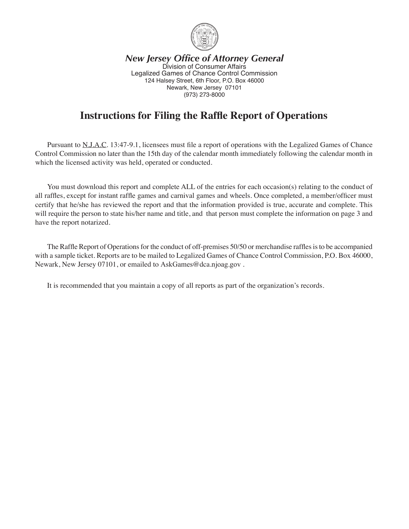

*New Jersey Office of Attorney General* Division of Consumer Affairs Legalized Games of Chance Control Commission 124 Halsey Street, 6th Floor, P.O. Box 46000 Newark, New Jersey 07101 (973) 273-8000

# **Instructions for Filing the Raffle Report of Operations**

 Pursuant to N.J.A.C. 13:47-9.1, licensees must file a report of operations with the Legalized Games of Chance Control Commission no later than the 15th day of the calendar month immediately following the calendar month in which the licensed activity was held, operated or conducted.

 You must download this report and complete ALL of the entries for each occasion(s) relating to the conduct of all raffles, except for instant raffle games and carnival games and wheels. Once completed, a member/officer must certify that he/she has reviewed the report and that the information provided is true, accurate and complete. This will require the person to state his/her name and title, and that person must complete the information on page 3 and have the report notarized.

The Raffle Report of Operations for the conduct of off-premises 50/50 or merchandise raffles is to be accompanied with a sample ticket. Reports are to be mailed to Legalized Games of Chance Control Commission, P.O. Box 46000, Newark, New Jersey 07101, or emailed to AskGames@dca.njoag.gov.

 It is recommended that you maintain a copy of all reports as part of the organization's records.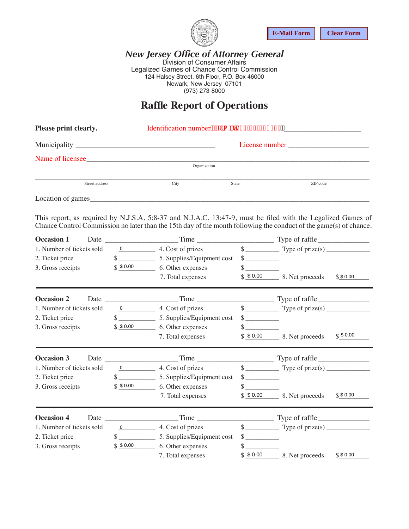

#### *New Jersey Office of Attorney General* Division of Consumer Affairs Legalized Games of Chance Control Commission 124 Halsey Street, 6th Floor, P.O. Box 46000 Newark, New Jersey 07101 (973) 273-8000

### **Raffle Report of Operations**

| Please print clearly. |              |              |          |
|-----------------------|--------------|--------------|----------|
|                       |              |              |          |
| Name of licensee      |              |              |          |
|                       | Organization |              |          |
| Street address        | City         | <b>State</b> | ZIP code |
| Location of games_    |              |              |          |

|                                                                   |                |                               |                                                                                                                                                                                                                                                                                                                                             |                                                            | <b>E-Mail Form</b>                                                                                                                                                                                                                                                                                                                                                                                                   | <b>Clear Form</b> |
|-------------------------------------------------------------------|----------------|-------------------------------|---------------------------------------------------------------------------------------------------------------------------------------------------------------------------------------------------------------------------------------------------------------------------------------------------------------------------------------------|------------------------------------------------------------|----------------------------------------------------------------------------------------------------------------------------------------------------------------------------------------------------------------------------------------------------------------------------------------------------------------------------------------------------------------------------------------------------------------------|-------------------|
|                                                                   |                |                               | <b>New Jersey Office of Attorney General</b><br>Division of Consumer Affairs<br>Legalized Games of Chance Control Commission<br>124 Halsey Street, 6th Floor, P.O. Box 46000<br>Newark, New Jersey 07101<br>(973) 273-8000                                                                                                                  |                                                            |                                                                                                                                                                                                                                                                                                                                                                                                                      |                   |
|                                                                   |                |                               | <b>Raffle Report of Operations</b>                                                                                                                                                                                                                                                                                                          |                                                            |                                                                                                                                                                                                                                                                                                                                                                                                                      |                   |
| Please print clearly.                                             |                |                               |                                                                                                                                                                                                                                                                                                                                             |                                                            |                                                                                                                                                                                                                                                                                                                                                                                                                      |                   |
|                                                                   |                |                               |                                                                                                                                                                                                                                                                                                                                             |                                                            |                                                                                                                                                                                                                                                                                                                                                                                                                      |                   |
|                                                                   |                |                               | Name of licensee                                                                                                                                                                                                                                                                                                                            |                                                            |                                                                                                                                                                                                                                                                                                                                                                                                                      |                   |
|                                                                   |                |                               | Organization                                                                                                                                                                                                                                                                                                                                |                                                            |                                                                                                                                                                                                                                                                                                                                                                                                                      |                   |
|                                                                   | Street address |                               | City<br>State                                                                                                                                                                                                                                                                                                                               |                                                            | ZIP code                                                                                                                                                                                                                                                                                                                                                                                                             |                   |
|                                                                   |                |                               | Location of games                                                                                                                                                                                                                                                                                                                           |                                                            |                                                                                                                                                                                                                                                                                                                                                                                                                      |                   |
| 2. Ticket price<br>3. Gross receipts                              |                |                               | This report, as required by N.J.S.A. 5:8-37 and N.J.A.C. 13:47-9, must be filed with the Legalized Games of<br>Chance Control Commission no later than the 15th day of the month following the conduct of the game(s) of chance.<br>1. Number of tickets sold <u>0</u> 4. Cost of prizes<br>$$30.00$ 6. Other expenses<br>7. Total expenses | $\frac{\text{S}}{\text{S}}$<br>$\frac{\text{S}}{\text{S}}$ | $\frac{\sqrt{2}}{2}$ Type of prize(s)<br>$$0.00$ 8. Net proceeds $$0.00$                                                                                                                                                                                                                                                                                                                                             |                   |
| <b>Occasion 2</b>                                                 |                |                               |                                                                                                                                                                                                                                                                                                                                             |                                                            |                                                                                                                                                                                                                                                                                                                                                                                                                      |                   |
| 1. Number of tickets sold<br>2. Ticket price<br>3. Gross receipts |                |                               | $\frac{0}{2}$ 4. Cost of prizes<br>$\frac{1}{2}$ 5. Supplies/Equipment cost<br>$$ 80.00$ 6. Other expenses<br>7. Total expenses                                                                                                                                                                                                             | $\frac{\text{S}}{\text{S}}$                                | $\frac{\text{g}}{\text{g}}$ Type of prize(s)<br>$$0.00$ 8. Net proceeds                                                                                                                                                                                                                                                                                                                                              | \$ 80.00          |
| <b>Occasion 3</b>                                                 |                |                               |                                                                                                                                                                                                                                                                                                                                             |                                                            |                                                                                                                                                                                                                                                                                                                                                                                                                      |                   |
| 1. Number of tickets sold<br>2. Ticket price<br>3. Gross receipts |                | $0 \qquad \qquad$<br>\$ 50.00 | 4. Cost of prizes<br>6. Other expenses<br>7. Total expenses                                                                                                                                                                                                                                                                                 | $\frac{\text{S}}{\text{S}}$<br>\$                          | $\frac{\text{y}}{\text{y}}$ Type of prize(s)<br>$$0.00$ 8. Net proceeds                                                                                                                                                                                                                                                                                                                                              | \$ 80.00          |
| <b>Occasion 4</b>                                                 |                |                               | Date Time                                                                                                                                                                                                                                                                                                                                   |                                                            | $\frac{1}{\sqrt{1-\frac{1}{2}}\sqrt{1-\frac{1}{2}}\sqrt{1-\frac{1}{2}}\sqrt{1-\frac{1}{2}}\sqrt{1-\frac{1}{2}}\sqrt{1-\frac{1}{2}}\sqrt{1-\frac{1}{2}}\sqrt{1-\frac{1}{2}}\sqrt{1-\frac{1}{2}}\sqrt{1-\frac{1}{2}}\sqrt{1-\frac{1}{2}}\sqrt{1-\frac{1}{2}}\sqrt{1-\frac{1}{2}}\sqrt{1-\frac{1}{2}}\sqrt{1-\frac{1}{2}}\sqrt{1-\frac{1}{2}}\sqrt{1-\frac{1}{2}}\sqrt{1-\frac{1}{2}}\sqrt{1-\frac{1}{2}}\sqrt{1-\frac$ |                   |
| 1. Number of tickets sold<br>2. Ticket price<br>3. Gross receipts |                | $\sim$ $\sim$<br>\$ 50.00     | $\frac{0}{2}$ 4. Cost of prizes<br>5. Supplies/Equipment cost<br>6. Other expenses                                                                                                                                                                                                                                                          | $\frac{\text{S}}{\text{S}}$<br>$\sim$                      |                                                                                                                                                                                                                                                                                                                                                                                                                      |                   |
|                                                                   |                |                               | 7. Total expenses                                                                                                                                                                                                                                                                                                                           | \$50.00                                                    | 8. Net proceeds                                                                                                                                                                                                                                                                                                                                                                                                      | \$ 1,000          |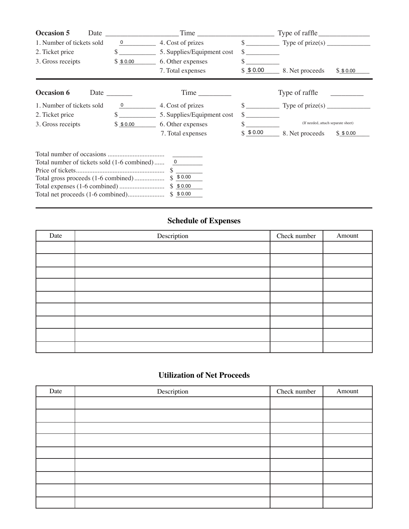|          | Time                                                                                                                                                                                                                           |                                                                                                | Type of raffle                            |
|----------|--------------------------------------------------------------------------------------------------------------------------------------------------------------------------------------------------------------------------------|------------------------------------------------------------------------------------------------|-------------------------------------------|
| 0        | 4. Cost of prizes                                                                                                                                                                                                              | $s$ <sub>___</sub>                                                                             |                                           |
|          | 5. Supplies/Equipment cost                                                                                                                                                                                                     | \$                                                                                             |                                           |
| \$ 50.00 | 6. Other expenses                                                                                                                                                                                                              | \$                                                                                             |                                           |
|          | 7. Total expenses                                                                                                                                                                                                              | \$ 50.00                                                                                       | 8. Net proceeds<br>\$ 50.00               |
|          | Time is a set of the set of the set of the set of the set of the set of the set of the set of the set of the set of the set of the set of the set of the set of the set of the set of the set of the set of the set of the set |                                                                                                | Type of raffle                            |
| 0        | 4. Cost of prizes                                                                                                                                                                                                              | $\mathbb{S}$ $\blacksquare$                                                                    | Type of prize(s) $\overline{\phantom{a}}$ |
|          | 5. Supplies/Equipment cost                                                                                                                                                                                                     |                                                                                                |                                           |
| \$50.00  | 6. Other expenses                                                                                                                                                                                                              |                                                                                                | (If needed, attach separate sheet)        |
|          | 7. Total expenses                                                                                                                                                                                                              | \$ 50.00                                                                                       | 8. Net proceeds<br>\$ 50.00               |
|          | $\overline{0}$<br>\$0.00<br>\$ 50.00                                                                                                                                                                                           |                                                                                                |                                           |
|          | Date<br>1. Number of tickets sold<br>Date<br>1. Number of tickets sold                                                                                                                                                         | Total number of tickets sold (1-6 combined)<br>Total gross proceeds (1-6 combined)<br>\$ 50.00 |                                           |

# **Schedule of Expenses**

| Date | Description | Check number | Amount |
|------|-------------|--------------|--------|
|      |             |              |        |
|      |             |              |        |
|      |             |              |        |
|      |             |              |        |
|      |             |              |        |
|      |             |              |        |
|      |             |              |        |
|      |             |              |        |
|      |             |              |        |

### **Utilization of Net Proceeds**

| Date | Description | Check number | Amount |
|------|-------------|--------------|--------|
|      |             |              |        |
|      |             |              |        |
|      |             |              |        |
|      |             |              |        |
|      |             |              |        |
|      |             |              |        |
|      |             |              |        |
|      |             |              |        |
|      |             |              |        |